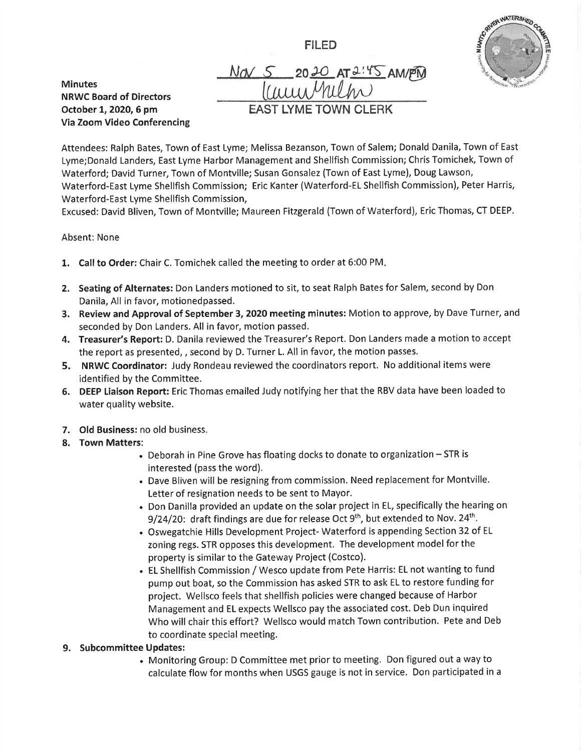FILED



Minutes NRWC Board of Directors October 1, 2020, 6 pm Via Zoom Video Conferencing

 $N$ a  $S$  2020 AT  $2.45$  am/PM EAST LYME TOWN CLERK

Attendees: Ralph Bates, Town of East Lyme; Melissa Bezanson, Town of Salem; Donald Danila, Town of East Lyme;Donald Landers, East Lyme Harbor Management and Shellfish Commission; Chris Tomichek, Town of Waterford; David Turner, Town of Montville; Susan Gonsalez (Town of East Lyme), Doug Lawson, Waterford-East Lyme Shellfish Commission; Eric Kanter (Waterford-EL Shellfish Commission), Peter Harris, Waterford-East Lyme Shellfish Commission,

Excused: David Bliven, Town of Montville; Maureen Fitzgerald (Town of Waterford), Eric Thomas, CT DEEP.

## Absent: None

- 1. Call to Order: Chair C. Tomichek called the meeting to order at 6:00 PM.
- 2. Seating of Alternates: Don Landers motioned to sit, to seat Ralph Bates for Salem, second by Don Danila, All in favor, motionedpassed.
- 3. Review and Approval of September 3, 2020 meeting minutes: Motion to approve, by Dave Turner, and seconded by Don Landers. All in favor, motion passed.
- 4. Treasurer's Report: D. Danila reviewed the Treasurer's Report. Don Landers made a motion to accept the report as presented, , second by D. Turner L. All in favor, the motion passes.
- 5. NRWC Coordinator: Judy Rondeau reviewed the coordinators report. No additional items were identified by the Committee.
- 6. DEEP Liaison Report: Eric Thomas emailed Judy notifying her that the RBV data have been loaded to water quality website.
- 7. Old Business: no old business.
- 8. Town Matters:
	- $\bullet$  Deborah in Pine Grove has floating docks to donate to organization  $-$  STR is interested (pass the word).
	- . Dave Bliven will be resigning from commission. Need replacement for Montville. Letter of resignation needs to be sent to Mayor.
	- . Don Danilla provided an update on the solar project in EL, specifically the hearing on 9/24/20: draft findings are due for release Oct  $9<sup>th</sup>$ , but extended to Nov. 24<sup>th</sup>.
	- . Oswegatchie Hills Development Project- Waterford is appending Section 32 of EL zoning regs. STR opposes this development. The development model for the property is similar to the Gateway Project (Costco).
	- . EL Shellfish Commission / Wesco update from Pete Harris: EL not wanting to fund pump out boat, so the Commission has asked STR to ask EL to restore funding for project. Wellsco feels that shellfish policies were changed because of Harbor Management and EL expects Wellsco pay the associated cost. Deb Dun inquired Who will chair this effort? Wellsco would match Town contribution. Pete and Deb to coordinate special meeting.

## 9. Subcommittee Updates:

. Monitoring Group: D Committee met prior to meeting. Don figured out a way to calculate flow for months when USGS gauge is not in service. Don participated in a